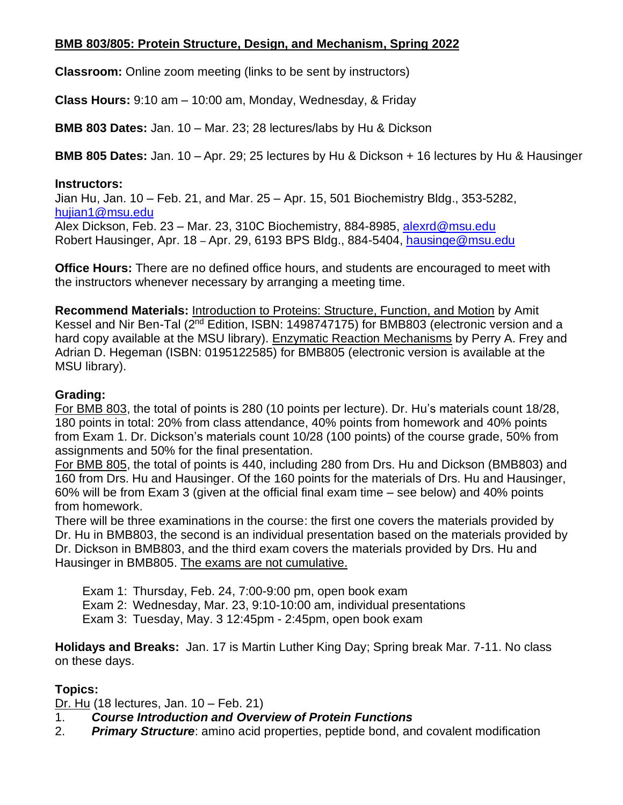### **BMB 803/805: Protein Structure, Design, and Mechanism, Spring 2022**

**Classroom:** Online zoom meeting (links to be sent by instructors)

**Class Hours:** 9:10 am – 10:00 am, Monday, Wednesday, & Friday

**BMB 803 Dates:** Jan. 10 – Mar. 23; 28 lectures/labs by Hu & Dickson

**BMB 805 Dates:** Jan. 10 – Apr. 29; 25 lectures by Hu & Dickson + 16 lectures by Hu & Hausinger

#### **Instructors:**

Jian Hu, Jan. 10 – Feb. 21, and Mar. 25 – Apr. 15, 501 Biochemistry Bldg., 353-5282, [hujian1@msu.edu](mailto:hujian1@msu.edu)

[Alex Dickson,](mailto:hujian1@msu.edu) Feb. 23 – Mar. 23, 310C Biochemistry, 884-8985, [alexrd@msu.edu](mailto:alexrd@msu.edu) [Robert Hausin](mailto:alexrd@msu.edu)ger, Apr. 18 – Apr. 29, 6193 BPS Bldg., 884-5404, [hausinge@msu.edu](mailto:hausinge@msu.edu)

**[Office Hours:](mailto:hausinge@msu.edu)** There are no defined office hours, and students are encouraged to meet with the instructors whenever necessary by arranging a meeting time.

**Recommend Materials:** Introduction to Proteins: Structure, Function, and Motion by Amit Kessel and Nir Ben-Tal (2<sup>nd</sup> Edition, ISBN: 1498747175) for BMB803 (electronic version and a hard copy available at the MSU library). Enzymatic Reaction Mechanisms by Perry A. Frey and Adrian D. Hegeman (ISBN: 0195122585) for BMB805 (electronic version is available at the MSU library).

### **Grading:**

For BMB 803, the total of points is 280 (10 points per lecture). Dr. Hu's materials count 18/28, 180 points in total: 20% from class attendance, 40% points from homework and 40% points from Exam 1. Dr. Dickson's materials count 10/28 (100 points) of the course grade, 50% from assignments and 50% for the final presentation.

For BMB 805, the total of points is 440, including 280 from Drs. Hu and Dickson (BMB803) and 160 from Drs. Hu and Hausinger. Of the 160 points for the materials of Drs. Hu and Hausinger, 60% will be from Exam 3 (given at the official final exam time – see below) and 40% points from homework.

There will be three examinations in the course: the first one covers the materials provided by Dr. Hu in BMB803, the second is an individual presentation based on the materials provided by Dr. Dickson in BMB803, and the third exam covers the materials provided by Drs. Hu and Hausinger in BMB805. The exams are not cumulative.

Exam 1: Thursday, Feb. 24, 7:00-9:00 pm, open book exam

Exam 2: Wednesday, Mar. 23, 9:10-10:00 am, individual presentations

Exam 3: Tuesday, May. 3 12:45pm - 2:45pm, open book exam

**Holidays and Breaks:** Jan. 17 is Martin Luther King Day; Spring break Mar. 7-11. No class on these days.

# **Topics:**

Dr. Hu (18 lectures, Jan. 10 – Feb. 21)

# 1. *Course Introduction and Overview of Protein Functions*

2. *Primary Structure*: amino acid properties, peptide bond, and covalent modification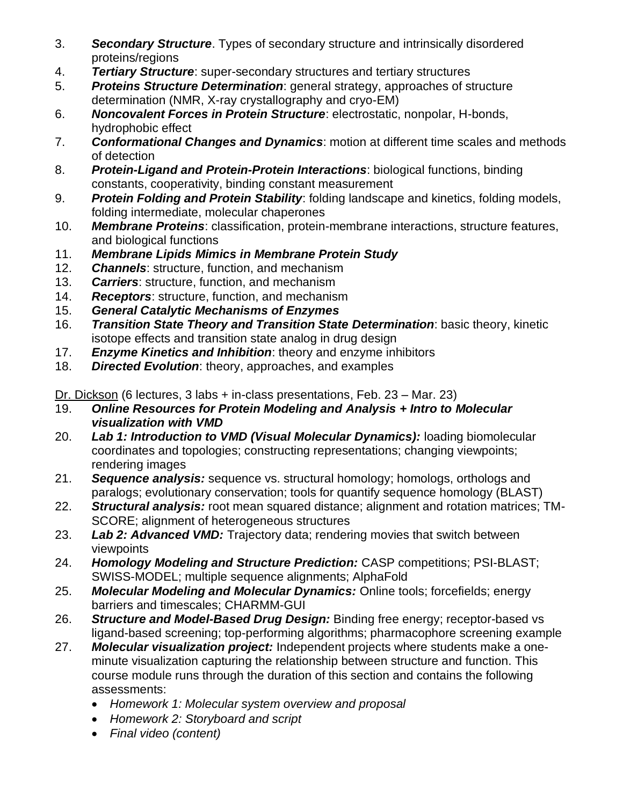- 3. *Secondary Structure*. Types of secondary structure and intrinsically disordered proteins/regions
- 4. *Tertiary Structure*: super-secondary structures and tertiary structures
- 5. *Proteins Structure Determination*: general strategy, approaches of structure determination (NMR, X-ray crystallography and cryo-EM)
- 6. *Noncovalent Forces in Protein Structure*: electrostatic, nonpolar, H-bonds, hydrophobic effect
- 7. *Conformational Changes and Dynamics*: motion at different time scales and methods of detection
- 8. *Protein-Ligand and Protein-Protein Interactions*: biological functions, binding constants, cooperativity, binding constant measurement
- 9. *Protein Folding and Protein Stability*: folding landscape and kinetics, folding models, folding intermediate, molecular chaperones
- 10. *Membrane Proteins*: classification, protein-membrane interactions, structure features, and biological functions
- 11. *Membrane Lipids Mimics in Membrane Protein Study*
- 12. *Channels*: structure, function, and mechanism
- 13. *Carriers*: structure, function, and mechanism
- 14. *Receptors*: structure, function, and mechanism
- 15. *General Catalytic Mechanisms of Enzymes*
- 16. *Transition State Theory and Transition State Determination*: basic theory, kinetic isotope effects and transition state analog in drug design
- 17. *Enzyme Kinetics and Inhibition*: theory and enzyme inhibitors
- 18. *Directed Evolution*: theory, approaches, and examples

Dr. Dickson (6 lectures, 3 labs + in-class presentations, Feb. 23 – Mar. 23)

- 19. *Online Resources for Protein Modeling and Analysis + Intro to Molecular visualization with VMD*
- 20. *Lab 1: Introduction to VMD (Visual Molecular Dynamics):* loading biomolecular coordinates and topologies; constructing representations; changing viewpoints; rendering images
- 21. *Sequence analysis:* sequence vs. structural homology; homologs, orthologs and paralogs; evolutionary conservation; tools for quantify sequence homology (BLAST)
- 22. *Structural analysis:* root mean squared distance; alignment and rotation matrices; TM-SCORE; alignment of heterogeneous structures
- 23. *Lab 2: Advanced VMD:* Trajectory data; rendering movies that switch between viewpoints
- 24. *Homology Modeling and Structure Prediction:* CASP competitions; PSI-BLAST; SWISS-MODEL; multiple sequence alignments; AlphaFold
- 25. *Molecular Modeling and Molecular Dynamics:* Online tools; forcefields; energy barriers and timescales; CHARMM-GUI
- 26. *Structure and Model-Based Drug Design:* Binding free energy; receptor-based vs ligand-based screening; top-performing algorithms; pharmacophore screening example
- 27. *Molecular visualization project:* Independent projects where students make a oneminute visualization capturing the relationship between structure and function. This course module runs through the duration of this section and contains the following assessments:
	- *Homework 1: Molecular system overview and proposal*
	- *Homework 2: Storyboard and script*
	- *Final video (content)*